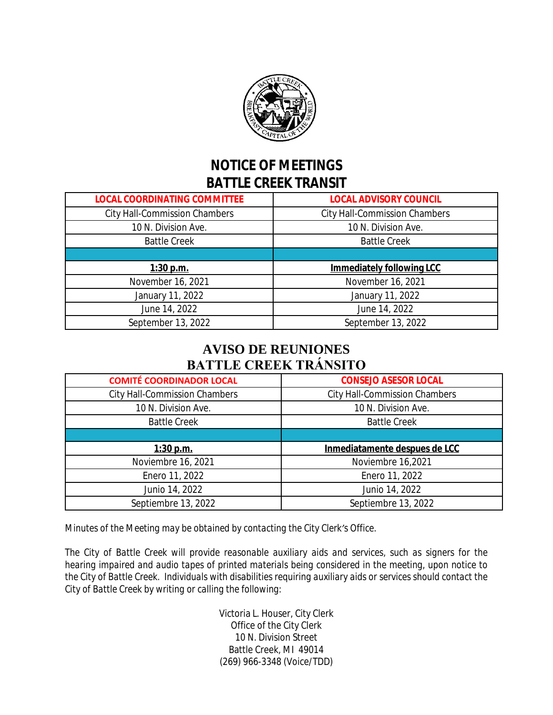

## **NOTICE OF MEETINGS BATTLE CREEK TRANSIT**

| <b>LOCAL COORDINATING COMMITTEE</b>  | <b>LOCAL ADVISORY COUNCIL</b>        |
|--------------------------------------|--------------------------------------|
| <b>City Hall-Commission Chambers</b> | <b>City Hall-Commission Chambers</b> |
| 10 N. Division Ave.                  | 10 N. Division Ave.                  |
| <b>Battle Creek</b>                  | <b>Battle Creek</b>                  |
|                                      |                                      |
|                                      |                                      |
| $1:30$ p.m.                          | <b>Immediately following LCC</b>     |
| November 16, 2021                    | November 16, 2021                    |
| January 11, 2022                     | January 11, 2022                     |
| June 14, 2022                        | June 14, 2022                        |

## **AVISO DE REUNIONES BATTLE CREEK TRÁNSITO**

| <b>COMITÉ COORDINADOR LOCAL</b>      | <b>CONSEJO ASESOR LOCAL</b>          |
|--------------------------------------|--------------------------------------|
| <b>City Hall-Commission Chambers</b> | <b>City Hall-Commission Chambers</b> |
| 10 N. Division Ave.                  | 10 N. Division Ave.                  |
| <b>Battle Creek</b>                  | <b>Battle Creek</b>                  |
|                                      |                                      |
|                                      |                                      |
| $1:30$ p.m.                          | Inmediatamente despues de LCC        |
| Noviembre 16, 2021                   | Noviembre 16,2021                    |
| Enero 11, 2022                       | Enero 11, 2022                       |
| Junio 14, 2022                       | Junio 14, 2022                       |

*Minutes of the Meeting may be obtained by contacting the City Clerk's Office.*

*The City of Battle Creek will provide reasonable auxiliary aids and services, such as signers for the hearing impaired and audio tapes of printed materials being considered in the meeting, upon notice to the City of Battle Creek. Individuals with disabilities requiring auxiliary aids or services should contact the City of Battle Creek by writing or calling the following:*

> Victoria L. Houser, City Clerk Office of the City Clerk 10 N. Division Street Battle Creek, MI 49014 (269) 966-3348 (Voice/TDD)